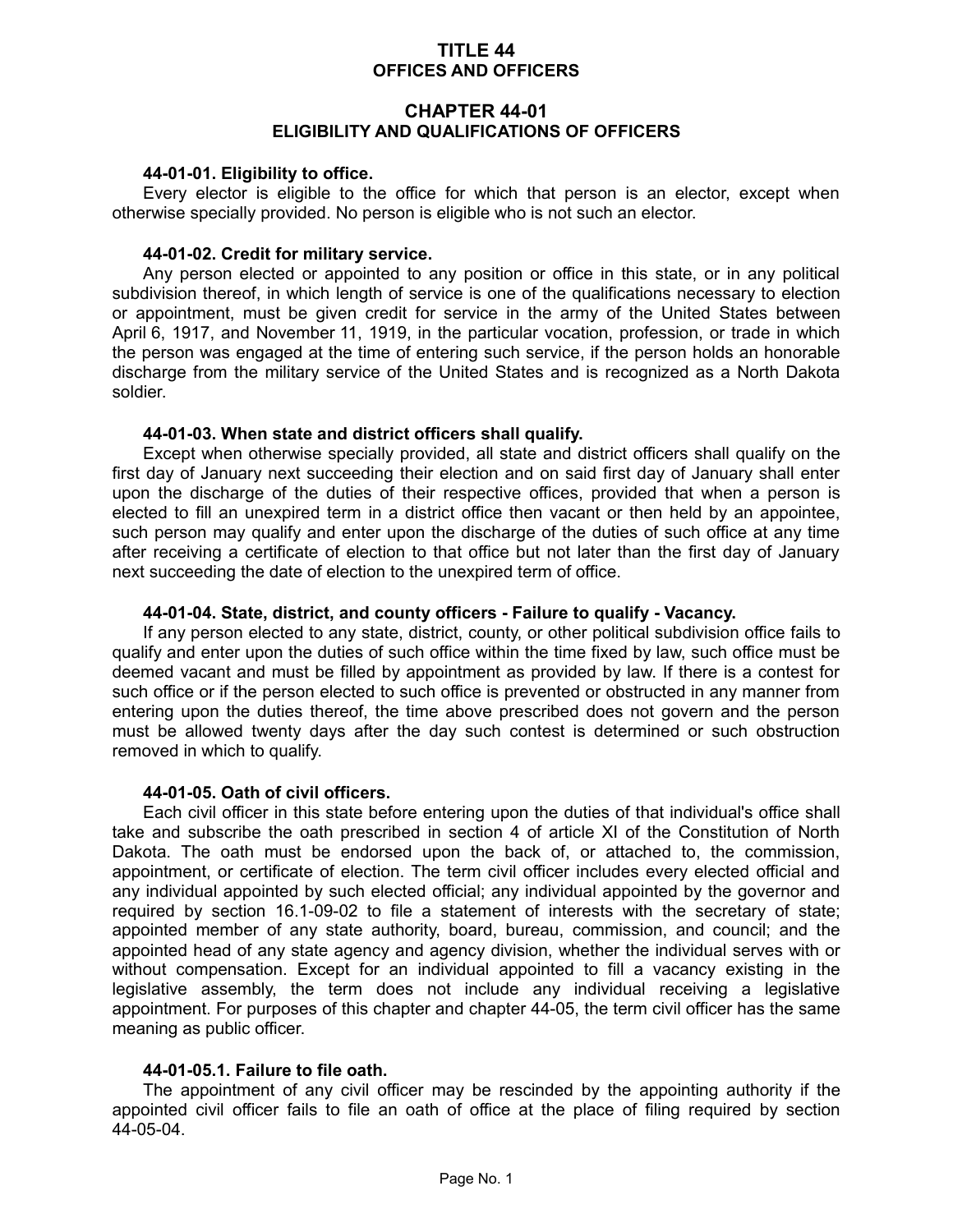## **TITLE 44 OFFICES AND OFFICERS**

## **CHAPTER 44-01 ELIGIBILITY AND QUALIFICATIONS OF OFFICERS**

#### **44-01-01. Eligibility to office.**

Every elector is eligible to the office for which that person is an elector, except when otherwise specially provided. No person is eligible who is not such an elector.

#### **44-01-02. Credit for military service.**

Any person elected or appointed to any position or office in this state, or in any political subdivision thereof, in which length of service is one of the qualifications necessary to election or appointment, must be given credit for service in the army of the United States between April 6, 1917, and November 11, 1919, in the particular vocation, profession, or trade in which the person was engaged at the time of entering such service, if the person holds an honorable discharge from the military service of the United States and is recognized as a North Dakota soldier.

#### **44-01-03. When state and district officers shall qualify.**

Except when otherwise specially provided, all state and district officers shall qualify on the first day of January next succeeding their election and on said first day of January shall enter upon the discharge of the duties of their respective offices, provided that when a person is elected to fill an unexpired term in a district office then vacant or then held by an appointee, such person may qualify and enter upon the discharge of the duties of such office at any time after receiving a certificate of election to that office but not later than the first day of January next succeeding the date of election to the unexpired term of office.

### **44-01-04. State, district, and county officers - Failure to qualify - Vacancy.**

If any person elected to any state, district, county, or other political subdivision office fails to qualify and enter upon the duties of such office within the time fixed by law, such office must be deemed vacant and must be filled by appointment as provided by law. If there is a contest for such office or if the person elected to such office is prevented or obstructed in any manner from entering upon the duties thereof, the time above prescribed does not govern and the person must be allowed twenty days after the day such contest is determined or such obstruction removed in which to qualify.

#### **44-01-05. Oath of civil officers.**

Each civil officer in this state before entering upon the duties of that individual's office shall take and subscribe the oath prescribed in section 4 of article XI of the Constitution of North Dakota. The oath must be endorsed upon the back of, or attached to, the commission, appointment, or certificate of election. The term civil officer includes every elected official and any individual appointed by such elected official; any individual appointed by the governor and required by section 16.1-09-02 to file a statement of interests with the secretary of state; appointed member of any state authority, board, bureau, commission, and council; and the appointed head of any state agency and agency division, whether the individual serves with or without compensation. Except for an individual appointed to fill a vacancy existing in the legislative assembly, the term does not include any individual receiving a legislative appointment. For purposes of this chapter and chapter 44-05, the term civil officer has the same meaning as public officer.

#### **44-01-05.1. Failure to file oath.**

The appointment of any civil officer may be rescinded by the appointing authority if the appointed civil officer fails to file an oath of office at the place of filing required by section 44-05-04.